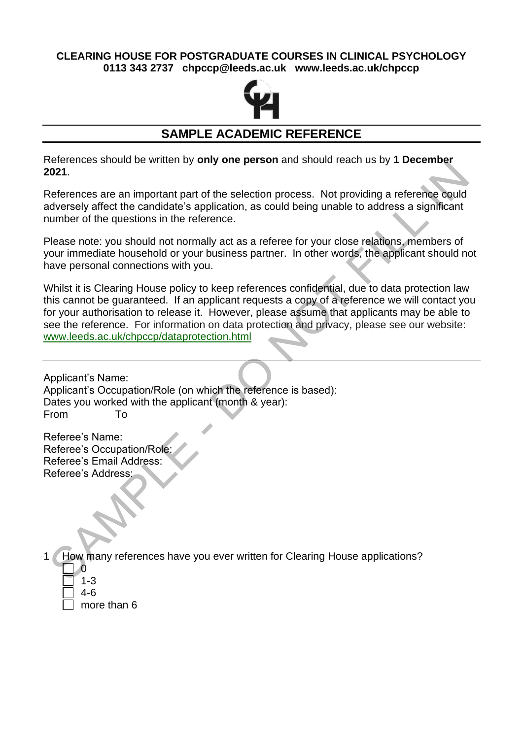### **CLEARING HOUSE FOR POSTGRADUATE COURSES IN CLINICAL PSYCHOLOGY 0113 343 2737 chpccp@leeds.ac.uk www.leeds.ac.uk/chpccp**



# **SAMPLE ACADEMIC REFERENCE**

References should be written by **only one person** and should reach us by **1 December 2021**.

References are an important part of the selection process. Not providing a reference could adversely affect the candidate's application, as could being unable to address a significant number of the questions in the reference.

Please note: you should not normally act as a referee for your close relations, members of your immediate household or your business partner. In other words, the applicant should not have personal connections with you.

Whilst it is Clearing House policy to keep references confidential, due to data protection law this cannot be guaranteed. If an applicant requests a copy of a reference we will contact you for your authorisation to release it. However, please assume that applicants may be able to see the reference. For information on data protection and privacy, please see our website: [www.leeds.ac.uk/chpccp/dataprotection.html](https://www.leeds.ac.uk/chpccp/dataprotection.html)

Applicant's Name: Applicant's Occupation/Role (on which the reference is based): Dates you worked with the applicant (month & year): From To

Referee's Name: Referee's Occupation/Role: Referee's Email Address: Referee's Address:

1 How many references have you ever written for Clearing House applications?

- 0 1-3
- 4-6

more than 6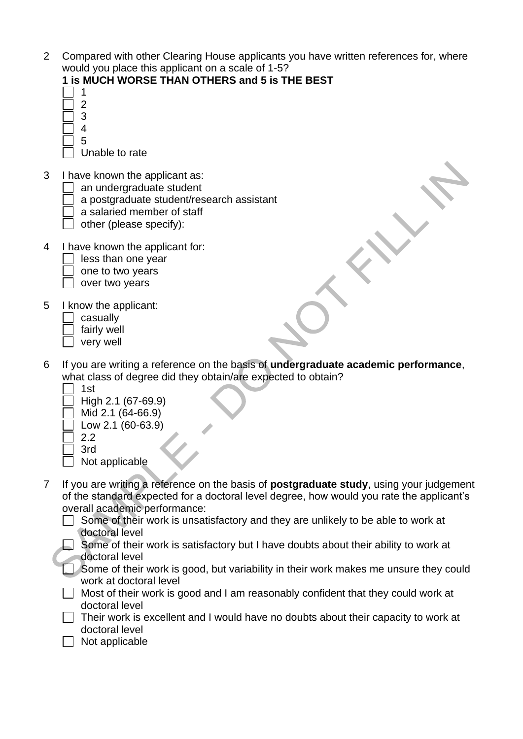2 Compared with other Clearing House applicants you have written references for, where would you place this applicant on a scale of 1-5?

#### **1 is MUCH WORSE THAN OTHERS and 5 is THE BEST**

- 1 2
- 3
- 4 5
	- Unable to rate
- 3 I have known the applicant as:
	- an undergraduate student
		- a postgraduate student/research assistant
		- a salaried member of staff
		- other (please specify):
- 4 I have known the applicant for:
	- $\vert \ \vert$  less than one year
	- one to two years
	- $\Box$  over two years
- 5 I know the applicant:
	- casually
	- fairly well
	- very well
- 6 If you are writing a reference on the basis of **undergraduate academic performance**, what class of degree did they obtain/are expected to obtain?
	- 1st
	- High 2.1 (67-69.9)
	- Mid 2.1 (64-66.9)
	- $\sqrt{}$  Low 2.1 (60-63.9)
	- 2.2

3rd

- Not applicable
- 7 If you are writing a reference on the basis of **postgraduate study**, using your judgement of the standard expected for a doctoral level degree, how would you rate the applicant's overall academic performance:
	- Some of their work is unsatisfactory and they are unlikely to be able to work at doctoral level
	- $\Box$  Some of their work is satisfactory but I have doubts about their ability to work at doctoral level
	- Some of their work is good, but variability in their work makes me unsure they could work at doctoral level
	- $\Box$  Most of their work is good and I am reasonably confident that they could work at doctoral level
	- $\Box$  Their work is excellent and I would have no doubts about their capacity to work at doctoral level
	- $\Box$  Not applicable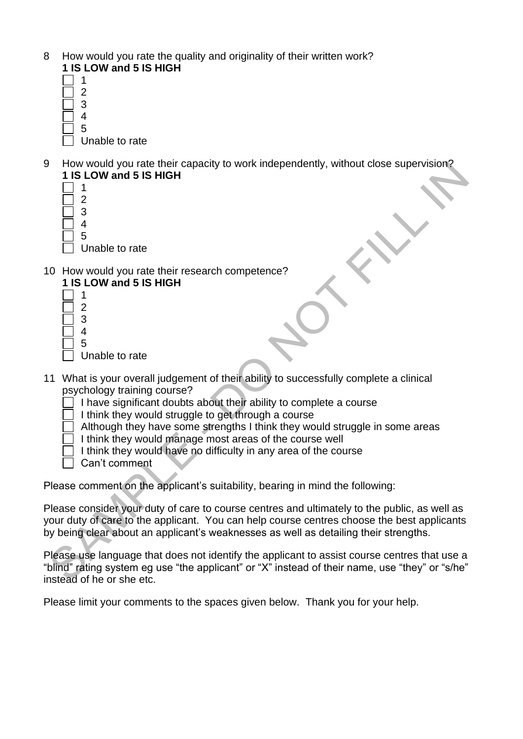- 8 How would you rate the quality and originality of their written work? **1 IS LOW and 5 IS HIGH**
	- 1 2 3 4 5
		- Unable to rate
- 9 How would you rate their capacity to work independently, without close supervision? **1 IS LOW and 5 IS HIGH**
	- 1  $\overline{2}$ 3 4 5
		- Unable to rate
- 10 How would you rate their research competence?
	- **1 IS LOW and 5 IS HIGH** 1 2 3 4 5 Unable to rate
- 11 What is your overall judgement of their ability to successfully complete a clinical psychology training course?
	- $\overline{1}$  I have significant doubts about their ability to complete a course
	- I I think they would struggle to get through a course
	- Although they have some strengths I think they would struggle in some areas
	- I think they would manage most areas of the course well
	- I think they would have no difficulty in any area of the course
	- Can't comment

Please comment on the applicant's suitability, bearing in mind the following:

Please consider your duty of care to course centres and ultimately to the public, as well as your duty of care to the applicant. You can help course centres choose the best applicants by being clear about an applicant's weaknesses as well as detailing their strengths.

Please use language that does not identify the applicant to assist course centres that use a "blind" rating system eg use "the applicant" or "X" instead of their name, use "they" or "s/he" instead of he or she etc.

Please limit your comments to the spaces given below. Thank you for your help.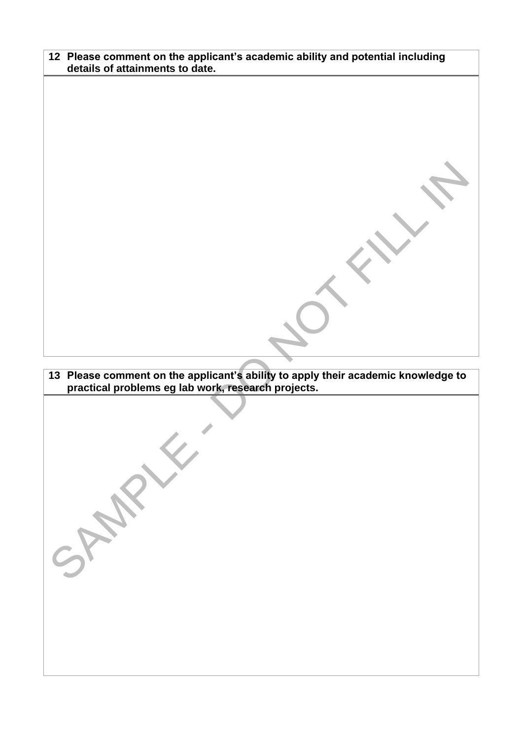| 12 Please comment on the applicant's academic ability and potential including |
|-------------------------------------------------------------------------------|
| details of attainments to date.                                               |

# **13 Please comment on the applicant's ability to apply their academic knowledge to practical problems eg lab work, research projects.**